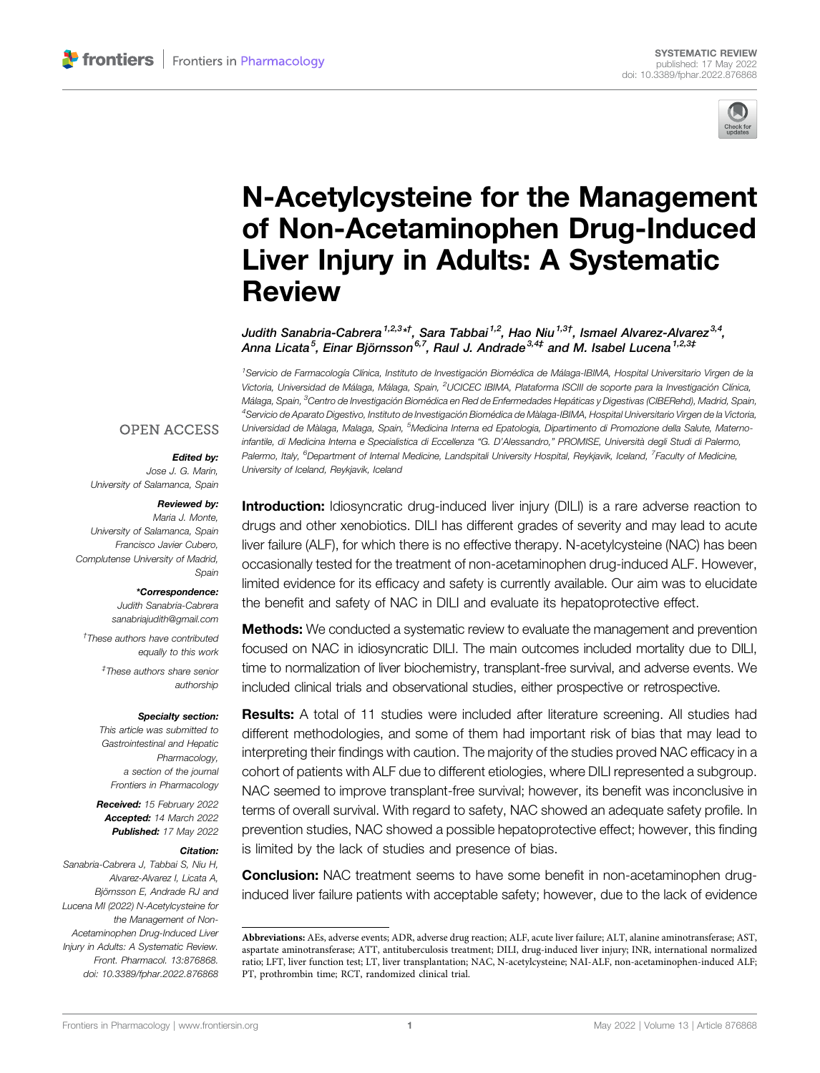

# [N-Acetylcysteine for the Management](https://www.frontiersin.org/articles/10.3389/fphar.2022.876868/full) [of Non-Acetaminophen Drug-Induced](https://www.frontiersin.org/articles/10.3389/fphar.2022.876868/full) [Liver Injury in Adults: A Systematic](https://www.frontiersin.org/articles/10.3389/fphar.2022.876868/full) [Review](https://www.frontiersin.org/articles/10.3389/fphar.2022.876868/full)

Judith Sanabria-Cabrera<sup>1,2,3</sup>\*<sup>†</sup>, Sara Tabbai<sup>1,2</sup>, Hao Niu<sup>1,3†</sup>, Ismael Alvarez-Alvarez<sup>3,4</sup>, Anna Licata<sup>5</sup>. Einar Biörnsson<sup>6,7</sup>. Raul J. Andrade<sup>3,4‡</sup> and M. Isabel Lucena<sup>1,2,3‡</sup>

<sup>1</sup>Servicio de Farmacología Clínica, Instituto de Investigación Biomédica de Málaga-IBIMA, Hospital Universitario Virgen de la Victoria, Universidad de Málaga, Málaga, Spain, <sup>2</sup>UCICEC IBIMA, Plataforma ISCIII de soporte para la Investigación Clínica, Málaga, Spain, <sup>3</sup>Centro de Investigación Biomédica en Red de Enfermedades Hepáticas y Digestivas (CIBERehd), Madrid, Spain, 4 Servicio de Aparato Digestivo, Instituto de Investigación Biomédica de Màlaga-IBIMA, Hospital Universitario Virgen de la Victoria, Universidad de Màlaga, Malaga, Spain, <sup>5</sup>Medicina Interna ed Epatologia, Dipartimento di Promozione della Salute, Maternoinfantile, di Medicina Interna e Specialistica di Eccellenza "G. D'Alessandro," PROMISE, Università degli Studi di Palermo, Palermo, Italy, <sup>6</sup>Department of Internal Medicine, Landspitali University Hospital, Reykjavik, Iceland, <sup>7</sup>Faculty of Medicine, University of Iceland, Reykjavik, Iceland

### **OPEN ACCESS**

#### Edited by:

Jose J. G. Marin, University of Salamanca, Spain

#### Reviewed by:

Maria J. Monte, University of Salamanca, Spain Francisco Javier Cubero, Complutense University of Madrid, Spain

#### \*Correspondence:

Judith Sanabria-Cabrera [sanabriajudith@gmail.com](mailto:sanabriajudith@gmail.com)

† These authors have contributed equally to this work

> ‡ These authors share senior authorship

#### Specialty section:

This article was submitted to Gastrointestinal and Hepatic Pharmacology, a section of the journal Frontiers in Pharmacology

Received: 15 February 2022 Accepted: 14 March 2022 Published: 17 May 2022

#### Citation:

Sanabria-Cabrera J, Tabbai S, Niu H, Alvarez-Alvarez I, Licata A, Björnsson E, Andrade RJ and Lucena MI (2022) N-Acetylcysteine for the Management of Non-Acetaminophen Drug-Induced Liver Injury in Adults: A Systematic Review. Front. Pharmacol. 13:876868. doi: [10.3389/fphar.2022.876868](https://doi.org/10.3389/fphar.2022.876868)

**Introduction:** Idiosyncratic drug-induced liver injury (DILI) is a rare adverse reaction to drugs and other xenobiotics. DILI has different grades of severity and may lead to acute liver failure (ALF), for which there is no effective therapy. N-acetylcysteine (NAC) has been occasionally tested for the treatment of non-acetaminophen drug-induced ALF. However, limited evidence for its efficacy and safety is currently available. Our aim was to elucidate the benefit and safety of NAC in DILI and evaluate its hepatoprotective effect.

**Methods:** We conducted a systematic review to evaluate the management and prevention focused on NAC in idiosyncratic DILI. The main outcomes included mortality due to DILI, time to normalization of liver biochemistry, transplant-free survival, and adverse events. We included clinical trials and observational studies, either prospective or retrospective.

**Results:** A total of 11 studies were included after literature screening. All studies had different methodologies, and some of them had important risk of bias that may lead to interpreting their findings with caution. The majority of the studies proved NAC efficacy in a cohort of patients with ALF due to different etiologies, where DILI represented a subgroup. NAC seemed to improve transplant-free survival; however, its benefit was inconclusive in terms of overall survival. With regard to safety, NAC showed an adequate safety profile. In prevention studies, NAC showed a possible hepatoprotective effect; however, this finding is limited by the lack of studies and presence of bias.

**Conclusion:** NAC treatment seems to have some benefit in non-acetaminophen druginduced liver failure patients with acceptable safety; however, due to the lack of evidence

Abbreviations: AEs, adverse events; ADR, adverse drug reaction; ALF, acute liver failure; ALT, alanine aminotransferase; AST, aspartate aminotransferase; ATT, antituberculosis treatment; DILI, drug-induced liver injury; INR, international normalized ratio; LFT, liver function test; LT, liver transplantation; NAC, N-acetylcysteine; NAI-ALF, non-acetaminophen-induced ALF; PT, prothrombin time; RCT, randomized clinical trial.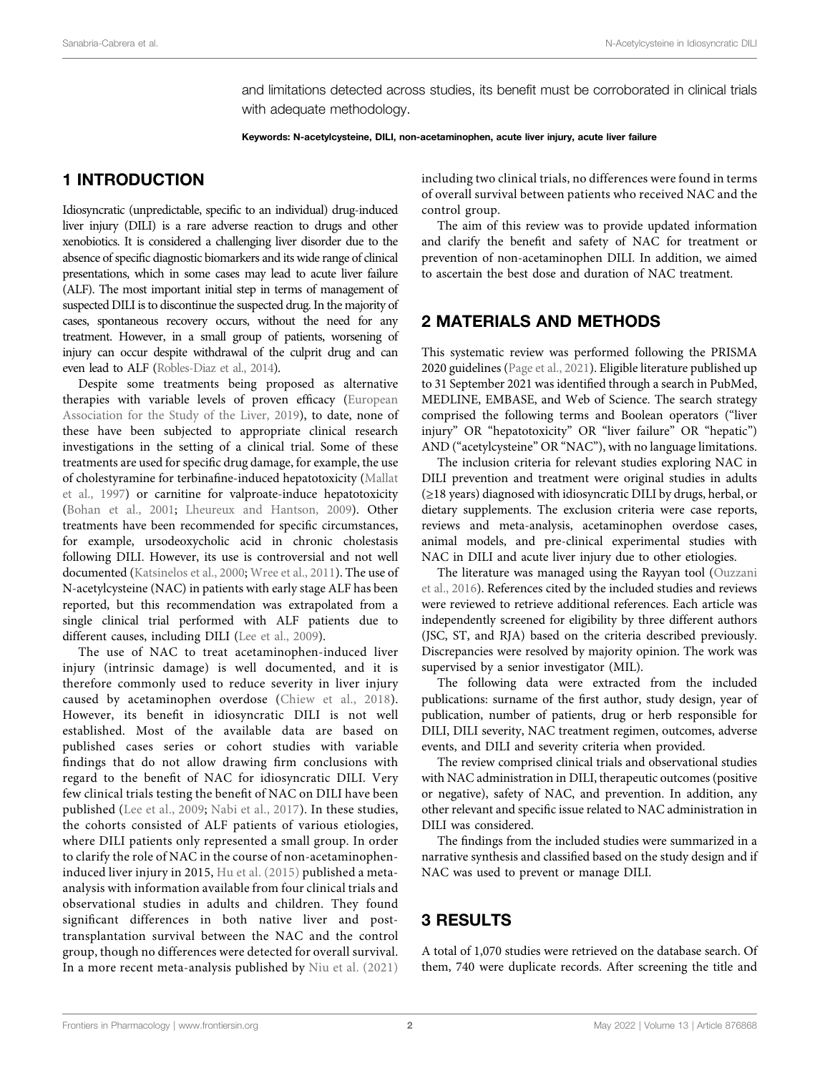and limitations detected across studies, its benefit must be corroborated in clinical trials with adequate methodology.

Keywords: N-acetylcysteine, DILI, non-acetaminophen, acute liver injury, acute liver failure

# 1 INTRODUCTION

Idiosyncratic (unpredictable, specific to an individual) drug-induced liver injury (DILI) is a rare adverse reaction to drugs and other xenobiotics. It is considered a challenging liver disorder due to the absence of specific diagnostic biomarkers and its wide range of clinical presentations, which in some cases may lead to acute liver failure (ALF). The most important initial step in terms of management of suspected DILI is to discontinue the suspected drug. In the majority of cases, spontaneous recovery occurs, without the need for any treatment. However, in a small group of patients, worsening of injury can occur despite withdrawal of the culprit drug and can even lead to ALF [\(Robles-Diaz et al., 2014\)](#page-11-0).

Despite some treatments being proposed as alternative therapies with variable levels of proven efficacy ([European](#page-10-0) [Association for the Study of the Liver, 2019](#page-10-0)), to date, none of these have been subjected to appropriate clinical research investigations in the setting of a clinical trial. Some of these treatments are used for specific drug damage, for example, the use of cholestyramine for terbinafine-induced hepatotoxicity ([Mallat](#page-10-1) [et al., 1997\)](#page-10-1) or carnitine for valproate-induce hepatotoxicity ([Bohan et al., 2001;](#page-10-2) [Lheureux and Hantson, 2009\)](#page-10-3). Other treatments have been recommended for specific circumstances, for example, ursodeoxycholic acid in chronic cholestasis following DILI. However, its use is controversial and not well documented ([Katsinelos et al., 2000;](#page-10-4) [Wree et al., 2011](#page-11-1)). The use of N-acetylcysteine (NAC) in patients with early stage ALF has been reported, but this recommendation was extrapolated from a single clinical trial performed with ALF patients due to different causes, including DILI [\(Lee et al., 2009](#page-10-5)).

The use of NAC to treat acetaminophen-induced liver injury (intrinsic damage) is well documented, and it is therefore commonly used to reduce severity in liver injury caused by acetaminophen overdose ([Chiew et al., 2018\)](#page-10-6). However, its benefit in idiosyncratic DILI is not well established. Most of the available data are based on published cases series or cohort studies with variable findings that do not allow drawing firm conclusions with regard to the benefit of NAC for idiosyncratic DILI. Very few clinical trials testing the benefit of NAC on DILI have been published ([Lee et al., 2009](#page-10-5); [Nabi et al., 2017\)](#page-11-2). In these studies, the cohorts consisted of ALF patients of various etiologies, where DILI patients only represented a small group. In order to clarify the role of NAC in the course of non-acetaminopheninduced liver injury in 2015, [Hu et al. \(2015\)](#page-10-7) published a metaanalysis with information available from four clinical trials and observational studies in adults and children. They found significant differences in both native liver and posttransplantation survival between the NAC and the control group, though no differences were detected for overall survival. In a more recent meta-analysis published by [Niu et al. \(2021\)](#page-11-3)

including two clinical trials, no differences were found in terms of overall survival between patients who received NAC and the control group.

The aim of this review was to provide updated information and clarify the benefit and safety of NAC for treatment or prevention of non-acetaminophen DILI. In addition, we aimed to ascertain the best dose and duration of NAC treatment.

# 2 MATERIALS AND METHODS

This systematic review was performed following the PRISMA 2020 guidelines [\(Page et al., 2021](#page-11-4)). Eligible literature published up to 31 September 2021 was identified through a search in PubMed, MEDLINE, EMBASE, and Web of Science. The search strategy comprised the following terms and Boolean operators ("liver injury" OR "hepatotoxicity" OR "liver failure" OR "hepatic") AND ("acetylcysteine" OR "NAC"), with no language limitations.

The inclusion criteria for relevant studies exploring NAC in DILI prevention and treatment were original studies in adults (≥18 years) diagnosed with idiosyncratic DILI by drugs, herbal, or dietary supplements. The exclusion criteria were case reports, reviews and meta-analysis, acetaminophen overdose cases, animal models, and pre-clinical experimental studies with NAC in DILI and acute liver injury due to other etiologies.

The literature was managed using the Rayyan tool [\(Ouzzani](#page-11-5) [et al., 2016](#page-11-5)). References cited by the included studies and reviews were reviewed to retrieve additional references. Each article was independently screened for eligibility by three different authors (JSC, ST, and RJA) based on the criteria described previously. Discrepancies were resolved by majority opinion. The work was supervised by a senior investigator (MIL).

The following data were extracted from the included publications: surname of the first author, study design, year of publication, number of patients, drug or herb responsible for DILI, DILI severity, NAC treatment regimen, outcomes, adverse events, and DILI and severity criteria when provided.

The review comprised clinical trials and observational studies with NAC administration in DILI, therapeutic outcomes (positive or negative), safety of NAC, and prevention. In addition, any other relevant and specific issue related to NAC administration in DILI was considered.

The findings from the included studies were summarized in a narrative synthesis and classified based on the study design and if NAC was used to prevent or manage DILI.

# 3 RESULTS

A total of 1,070 studies were retrieved on the database search. Of them, 740 were duplicate records. After screening the title and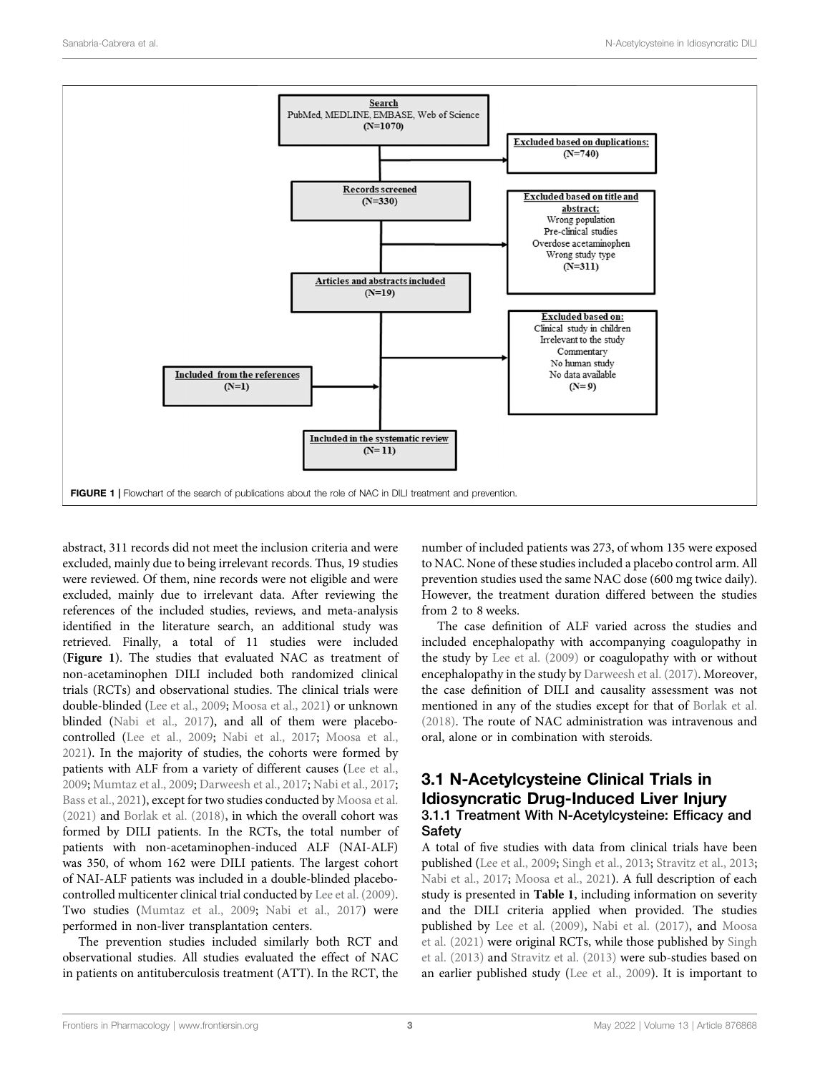

<span id="page-2-0"></span>abstract, 311 records did not meet the inclusion criteria and were excluded, mainly due to being irrelevant records. Thus, 19 studies were reviewed. Of them, nine records were not eligible and were excluded, mainly due to irrelevant data. After reviewing the references of the included studies, reviews, and meta-analysis identified in the literature search, an additional study was retrieved. Finally, a total of 11 studies were included ([Figure 1](#page-2-0)). The studies that evaluated NAC as treatment of non-acetaminophen DILI included both randomized clinical trials (RCTs) and observational studies. The clinical trials were double-blinded [\(Lee et al., 2009](#page-10-5); [Moosa et al., 2021\)](#page-10-8) or unknown blinded [\(Nabi et al., 2017](#page-11-2)), and all of them were placebocontrolled ([Lee et al., 2009;](#page-10-5) [Nabi et al., 2017;](#page-11-2) [Moosa et al.,](#page-10-8) [2021](#page-10-8)). In the majority of studies, the cohorts were formed by patients with ALF from a variety of different causes [\(Lee et al.,](#page-10-5) [2009](#page-10-5); [Mumtaz et al., 2009;](#page-10-9) [Darweesh et al., 2017](#page-10-10); [Nabi et al., 2017](#page-11-2); [Bass et al., 2021](#page-10-11)), except for two studies conducted by [Moosa et al.](#page-10-8) [\(2021\)](#page-10-8) and [Borlak et al. \(2018\)](#page-10-12), in which the overall cohort was formed by DILI patients. In the RCTs, the total number of patients with non-acetaminophen-induced ALF (NAI-ALF) was 350, of whom 162 were DILI patients. The largest cohort of NAI-ALF patients was included in a double-blinded placebocontrolled multicenter clinical trial conducted by [Lee et al. \(2009\)](#page-10-5). Two studies [\(Mumtaz et al., 2009;](#page-10-9) [Nabi et al., 2017\)](#page-11-2) were performed in non-liver transplantation centers.

The prevention studies included similarly both RCT and observational studies. All studies evaluated the effect of NAC in patients on antituberculosis treatment (ATT). In the RCT, the number of included patients was 273, of whom 135 were exposed to NAC. None of these studies included a placebo control arm. All prevention studies used the same NAC dose (600 mg twice daily). However, the treatment duration differed between the studies from 2 to 8 weeks.

The case definition of ALF varied across the studies and included encephalopathy with accompanying coagulopathy in the study by [Lee et al. \(2009\)](#page-10-5) or coagulopathy with or without encephalopathy in the study by [Darweesh et al. \(2017\).](#page-10-10) Moreover, the case definition of DILI and causality assessment was not mentioned in any of the studies except for that of [Borlak et al.](#page-10-12) [\(2018\).](#page-10-12) The route of NAC administration was intravenous and oral, alone or in combination with steroids.

### 3.1 N-Acetylcysteine Clinical Trials in Idiosyncratic Drug-Induced Liver Injury 3.1.1 Treatment With N-Acetylcysteine: Efficacy and **Safety**

A total of five studies with data from clinical trials have been published [\(Lee et al., 2009;](#page-10-5) [Singh et al., 2013](#page-11-6); [Stravitz et al., 2013;](#page-11-7) [Nabi et al., 2017;](#page-11-2) [Moosa et al., 2021\)](#page-10-8). A full description of each study is presented in [Table 1](#page-3-0), including information on severity and the DILI criteria applied when provided. The studies published by [Lee et al. \(2009\)](#page-10-5), [Nabi et al. \(2017\)](#page-11-2), and [Moosa](#page-10-8) [et al. \(2021\)](#page-10-8) were original RCTs, while those published by [Singh](#page-11-6) [et al. \(2013\)](#page-11-6) and [Stravitz et al. \(2013\)](#page-11-7) were sub-studies based on an earlier published study ([Lee et al., 2009\)](#page-10-5). It is important to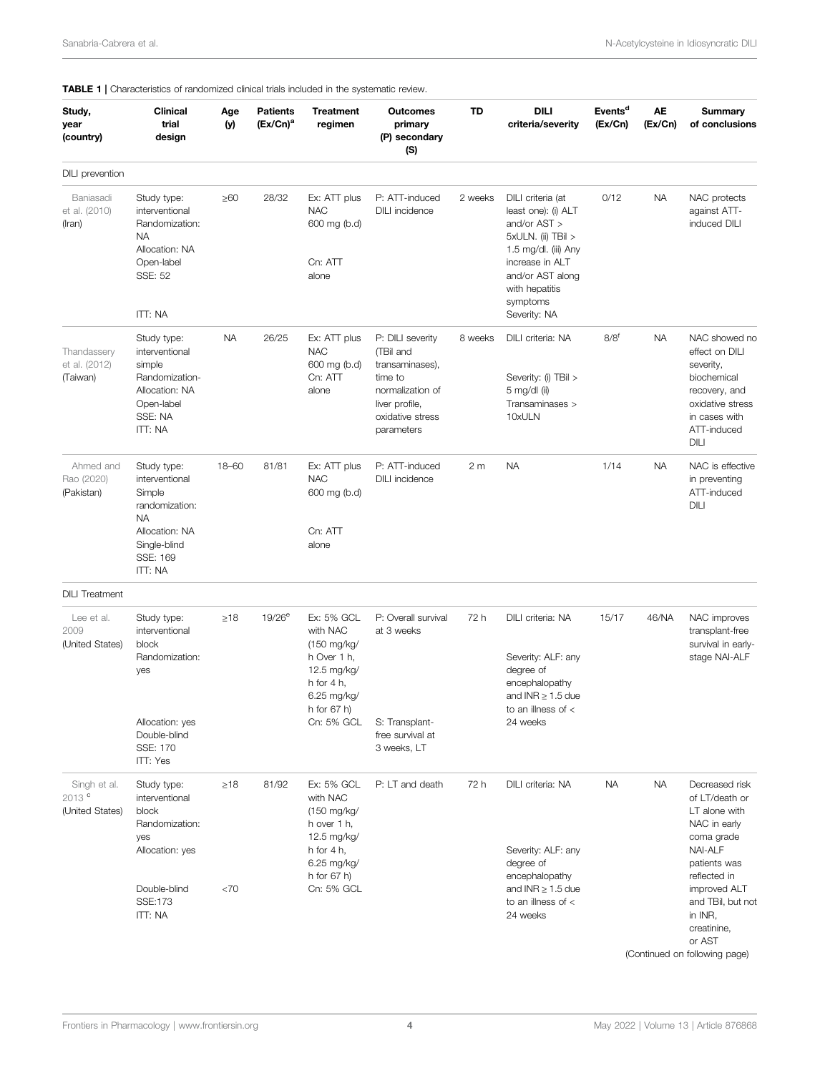| Study,<br>year<br>(country)                          | <b>Clinical</b><br>trial<br>design                                                                                              | Age<br>(y) | <b>Patients</b><br>$(Ex/On)^a$ | <b>Treatment</b><br>regimen                                                                                                        | <b>Outcomes</b><br>primary<br>(P) secondary<br>(S)                                                                                  | TD      | <b>DILI</b><br>criteria/severity                                                                                                                                                            | Events <sup>d</sup><br>(EX/Ch) | AЕ<br>(EX/Ch) | <b>Summary</b><br>of conclusions                                                                                                                                                                           |
|------------------------------------------------------|---------------------------------------------------------------------------------------------------------------------------------|------------|--------------------------------|------------------------------------------------------------------------------------------------------------------------------------|-------------------------------------------------------------------------------------------------------------------------------------|---------|---------------------------------------------------------------------------------------------------------------------------------------------------------------------------------------------|--------------------------------|---------------|------------------------------------------------------------------------------------------------------------------------------------------------------------------------------------------------------------|
| DILI prevention                                      |                                                                                                                                 |            |                                |                                                                                                                                    |                                                                                                                                     |         |                                                                                                                                                                                             |                                |               |                                                                                                                                                                                                            |
| Baniasadi<br>et al. (2010)<br>(Iran)                 | Study type:<br>interventional<br>Randomization:<br><b>NA</b><br>Allocation: NA<br>Open-label<br>SSE: 52<br>ITT: NA              | ≥60        | 28/32                          | Ex: ATT plus<br><b>NAC</b><br>600 mg (b.d)<br>Cn: ATT<br>alone                                                                     | P: ATT-induced<br><b>DILI</b> incidence                                                                                             | 2 weeks | DILI criteria (at<br>least one): (i) ALT<br>and/or AST ><br>5xULN. (ii) TBil ><br>1.5 mg/dl. (iii) Any<br>increase in ALT<br>and/or AST along<br>with hepatitis<br>symptoms<br>Severity: NA | 0/12                           | <b>NA</b>     | NAC protects<br>against ATT-<br>induced DILI                                                                                                                                                               |
| Thandassery<br>et al. (2012)<br>(Taiwan)             | Study type:<br>interventional<br>simple<br>Randomization-<br>Allocation: NA<br>Open-label<br>SSE: NA<br><b>ITT: NA</b>          | <b>NA</b>  | 26/25                          | Ex: ATT plus<br><b>NAC</b><br>600 mg (b.d)<br>Cn: ATT<br>alone                                                                     | P: DILI severity<br>(TBil and<br>transaminases),<br>time to<br>normalization of<br>liver profile,<br>oxidative stress<br>parameters | 8 weeks | DILI criteria: NA<br>Severity: (i) TBil ><br>5 mg/dl (ii)<br>Transaminases ><br>10xULN                                                                                                      | $8/8^f$                        | <b>NA</b>     | NAC showed no<br>effect on DILI<br>severity,<br>biochemical<br>recovery, and<br>oxidative stress<br>in cases with<br>ATT-induced<br>DILI                                                                   |
| Ahmed and<br>Rao (2020)<br>(Pakistan)                | Study type:<br>interventional<br>Simple<br>randomization:<br><b>NA</b><br>Allocation: NA<br>Single-blind<br>SSE: 169<br>ITT: NA | 18-60      | 81/81                          | Ex: ATT plus<br><b>NAC</b><br>600 mg (b.d)<br>Cn: ATT<br>alone                                                                     | P: ATT-induced<br><b>DILI</b> incidence                                                                                             | 2 m     | <b>NA</b>                                                                                                                                                                                   | 1/14                           | <b>NA</b>     | NAC is effective<br>in preventing<br>ATT-induced<br>DILI                                                                                                                                                   |
| <b>DILI</b> Treatment                                |                                                                                                                                 |            |                                |                                                                                                                                    |                                                                                                                                     |         |                                                                                                                                                                                             |                                |               |                                                                                                                                                                                                            |
| Lee et al.<br>2009<br>(United States)                | Study type:<br>interventional<br>block<br>Randomization:<br>yes<br>Allocation: yes<br>Double-blind<br>SSE: 170<br>ITT: Yes      | $\geq 18$  | $19/26^e$                      | Ex: 5% GCL<br>with NAC<br>(150 mg/kg/<br>h Over 1 h,<br>12.5 mg/kg/<br>h for $4 h$ ,<br>6.25 mg/kg/<br>h for $67$ h)<br>Cn: 5% GCL | P: Overall survival<br>at 3 weeks<br>S: Transplant-<br>free survival at<br>3 weeks, LT                                              | 72 h    | DILI criteria: NA<br>Severity: ALF: any<br>degree of<br>encephalopathy<br>and $INR \geq 1.5$ due<br>to an illness of <<br>24 weeks                                                          | 15/17                          | 46/NA         | NAC improves<br>transplant-free<br>survival in early-<br>stage NAI-ALF                                                                                                                                     |
| Singh et al.<br>2013 <sup>c</sup><br>(United States) | Study type:<br>interventional<br>block<br>Randomization:<br>yes<br>Allocation: yes<br>Double-blind<br><b>SSE:173</b><br>ITT: NA | ≥18<br><70 | 81/92                          | Ex: 5% GCL<br>with NAC<br>(150 mg/kg/<br>h over 1 h,<br>12.5 mg/kg/<br>h for $4 h$ ,<br>6.25 mg/kg/<br>h for $67$ h)<br>Cn: 5% GCL | P: LT and death                                                                                                                     | 72 h    | DILI criteria: NA<br>Severity: ALF: any<br>degree of<br>encephalopathy<br>and $INR \geq 1.5$ due<br>to an illness of <<br>24 weeks                                                          | <b>NA</b>                      | <b>NA</b>     | Decreased risk<br>of LT/death or<br>LT alone with<br>NAC in early<br>coma grade<br><b>NAI-ALF</b><br>patients was<br>reflected in<br>improved ALT<br>and TBil, but not<br>in INR,<br>creatinine,<br>or AST |

#### <span id="page-3-0"></span>TABLE 1 | Characteristics of randomized clinical trials included in the systematic review.

(Continued on following page)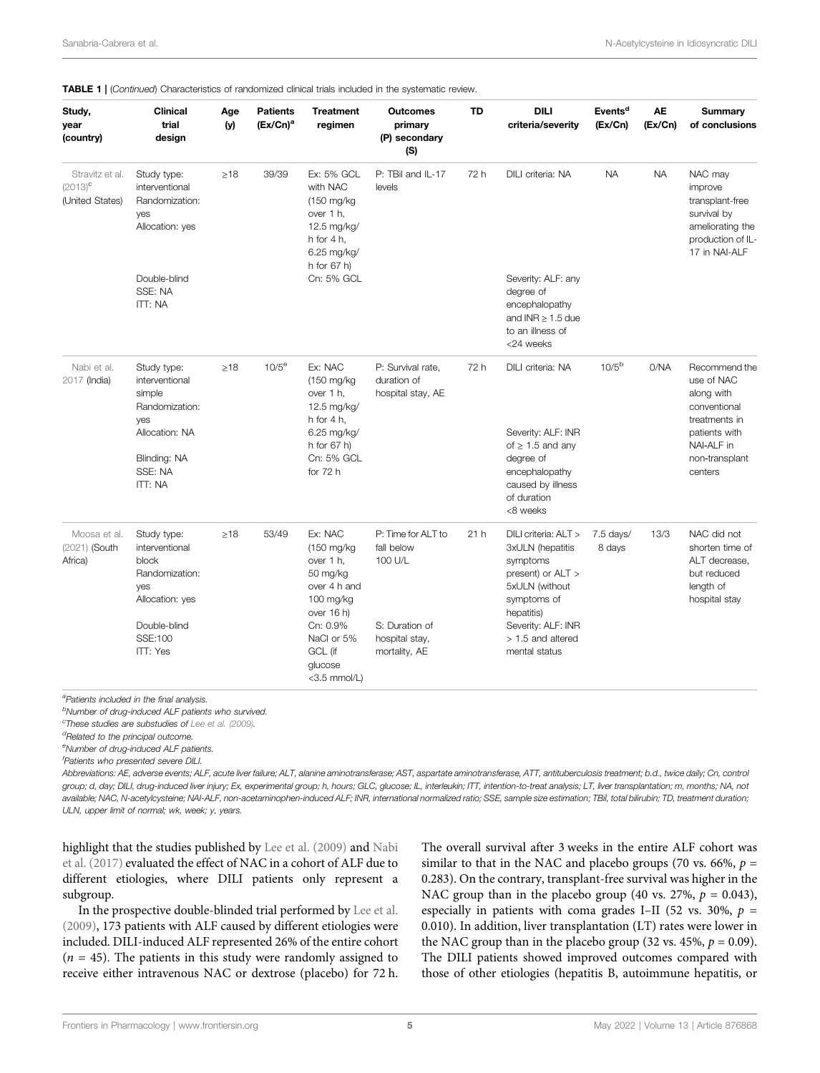| Study,<br>year<br>(country)                      | <b>Clinical</b><br>trial<br>design                                                                                              | Age<br>(y) | <b>Patients</b><br>$(Ex/On)^a$ | <b>Treatment</b><br>regimen                                                                                                                                  | <b>Outcomes</b><br>primary<br>(P) secondary<br>(S)                                               | <b>TD</b> | DILI<br>criteria/severity                                                                                                                                                            | Events <sup>d</sup><br>(EX/Ch) | <b>AE</b><br>(EX/Ch) | <b>Summary</b><br>of conclusions                                                                                                       |
|--------------------------------------------------|---------------------------------------------------------------------------------------------------------------------------------|------------|--------------------------------|--------------------------------------------------------------------------------------------------------------------------------------------------------------|--------------------------------------------------------------------------------------------------|-----------|--------------------------------------------------------------------------------------------------------------------------------------------------------------------------------------|--------------------------------|----------------------|----------------------------------------------------------------------------------------------------------------------------------------|
| Stravitz et al.<br>$(2013)^c$<br>(United States) | Study type:<br>interventional<br>Randomization:<br>yes<br>Allocation: yes                                                       | $\geq 18$  | 39/39                          | Ex: 5% GCL<br>with NAC<br>(150 mg/kg)<br>over 1 h,<br>12.5 mg/kg/<br>h for $4 h$ ,<br>6.25 mg/kg/<br>h for 67 h)                                             | P: TBil and IL-17<br>levels                                                                      | 72 h      | DILI criteria: NA                                                                                                                                                                    | <b>NA</b>                      | <b>NA</b>            | NAC may<br>improve<br>transplant-free<br>survival by<br>ameliorating the<br>production of IL-<br>17 in NAI-ALF                         |
|                                                  | Double-blind<br>SSE: NA<br>ITT: NA                                                                                              |            |                                | Cn: 5% GCL                                                                                                                                                   |                                                                                                  |           | Severity: ALF: any<br>degree of<br>encephalopathy<br>and $INR \geq 1.5$ due<br>to an illness of<br><24 weeks                                                                         |                                |                      |                                                                                                                                        |
| Nabi et al.<br>2017 (India)                      | Study type:<br>interventional<br>simple<br>Randomization:<br>yes<br>Allocation: NA<br>Blinding: NA<br>SSE: NA<br><b>ITT: NA</b> | $\geq 18$  | $10/5^\mathrm{e}$              | Ex: NAC<br>(150 mg/kg)<br>over 1 h,<br>12.5 mg/kg/<br>h for $4 h$ ,<br>6.25 mg/kg/<br>h for 67 h)<br>Cn: 5% GCL<br>for $72h$                                 | P: Survival rate.<br>duration of<br>hospital stay, AE                                            | 72 h      | DILI criteria: NA<br>Severity: ALF: INR<br>of $\geq$ 1.5 and any<br>degree of<br>encephalopathy<br>caused by illness<br>of duration<br><8 weeks                                      | 10/5 <sup>b</sup>              | 0/NA                 | Recommend the<br>use of NAC<br>along with<br>conventional<br>treatments in<br>patients with<br>NAI-ALF in<br>non-transplant<br>centers |
| Moosa et al.<br>(2021) (South<br>Africa)         | Study type:<br>interventional<br>block<br>Randomization:<br>yes<br>Allocation: yes<br>Double-blind<br>SSE:100<br>ITT: Yes       | $\geq$ 18  | 53/49                          | Ex: NAC<br>(150 mg/kg<br>over 1 h,<br>50 mg/kg<br>over 4 h and<br>100 mg/kg<br>over 16 h)<br>Cn: 0.9%<br>NaCl or 5%<br>GCL (if<br>glucose<br>$<$ 3.5 mmol/L) | P: Time for ALT to<br>fall below<br>100 U/L<br>S: Duration of<br>hospital stay,<br>mortality, AE | 21h       | DILI criteria: ALT ><br>3xULN (hepatitis<br>symptoms<br>present) or ALT ><br>5xULN (without<br>symptoms of<br>hepatitis)<br>Severity: ALF: INR<br>> 1.5 and altered<br>mental status | 7.5 days/<br>8 days            | 13/3                 | NAC did not<br>shorten time of<br>ALT decrease.<br>but reduced<br>length of<br>hospital stay                                           |

#### **TABLE 1** | (Continued) Characteristics of randomized clinical trials included in the systematic review.

<sup>a</sup>Patients included in the final analysis.

<sup>b</sup>Number of drug-induced ALF patients who survived.

<sup>c</sup>These studies are substudies of [Lee et al. \(2009\)](#page-10-5).

<sup>d</sup>Related to the principal outcome.

eNumber of drug-induced ALF patients.

f Patients who presented severe DILI.

Abbreviations: AE, adverse events; ALF, acute liver failure; ALT, alanine aminotransferase; AST, aspartate aminotransferase, ATT, antituberculosis treatment; b.d., twice daily; Cn, control group; d, day; DILI, drug-induced liver injury; Ex, experimental group; h, hours; GLC, glucose; IL, interleukin; ITT, intention-to-treat analysis; LT, liver transplantation; m, months; NA, not available; NAC, N-acetylcysteine; NAI-ALF, non-acetaminophen-induced ALF; INR, international normalized ratio; SSE, sample size estimation; TBil, total bilirubin; TD, treatment duration; ULN, upper limit of normal; wk, week; y, years.

highlight that the studies published by [Lee et al. \(2009\)](#page-10-5) and [Nabi](#page-11-2) [et al. \(2017\)](#page-11-2) evaluated the effect of NAC in a cohort of ALF due to different etiologies, where DILI patients only represent a subgroup.

In the prospective double-blinded trial performed by [Lee et al.](#page-10-5) [\(2009\)](#page-10-5), 173 patients with ALF caused by different etiologies were included. DILI-induced ALF represented 26% of the entire cohort  $(n = 45)$ . The patients in this study were randomly assigned to receive either intravenous NAC or dextrose (placebo) for 72 h. The overall survival after 3 weeks in the entire ALF cohort was similar to that in the NAC and placebo groups (70 vs. 66%,  $p =$ 0.283). On the contrary, transplant-free survival was higher in the NAC group than in the placebo group (40 vs. 27%,  $p = 0.043$ ), especially in patients with coma grades I–II (52 vs. 30%,  $p =$ 0.010). In addition, liver transplantation (LT) rates were lower in the NAC group than in the placebo group (32 vs. 45%,  $p = 0.09$ ). The DILI patients showed improved outcomes compared with those of other etiologies (hepatitis B, autoimmune hepatitis, or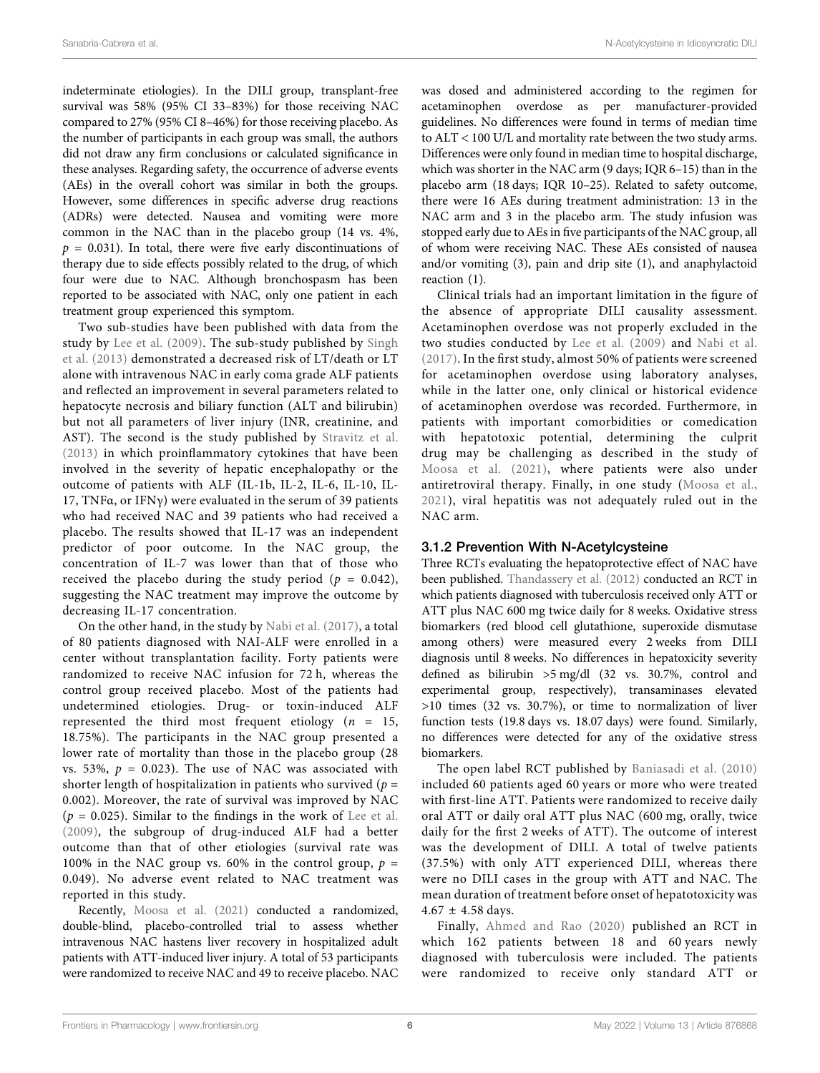indeterminate etiologies). In the DILI group, transplant-free survival was 58% (95% CI 33–83%) for those receiving NAC compared to 27% (95% CI 8–46%) for those receiving placebo. As the number of participants in each group was small, the authors did not draw any firm conclusions or calculated significance in these analyses. Regarding safety, the occurrence of adverse events (AEs) in the overall cohort was similar in both the groups. However, some differences in specific adverse drug reactions (ADRs) were detected. Nausea and vomiting were more common in the NAC than in the placebo group (14 vs. 4%,  $p = 0.031$ ). In total, there were five early discontinuations of therapy due to side effects possibly related to the drug, of which four were due to NAC. Although bronchospasm has been reported to be associated with NAC, only one patient in each treatment group experienced this symptom.

Two sub-studies have been published with data from the study by [Lee et al. \(2009\)](#page-10-5). The sub-study published by [Singh](#page-11-6) [et al. \(2013\)](#page-11-6) demonstrated a decreased risk of LT/death or LT alone with intravenous NAC in early coma grade ALF patients and reflected an improvement in several parameters related to hepatocyte necrosis and biliary function (ALT and bilirubin) but not all parameters of liver injury (INR, creatinine, and AST). The second is the study published by [Stravitz et al.](#page-11-7) [\(2013\)](#page-11-7) in which proinflammatory cytokines that have been involved in the severity of hepatic encephalopathy or the outcome of patients with ALF (IL-1b, IL-2, IL-6, IL-10, IL-17, TNF $\alpha$ , or IFN $\gamma$ ) were evaluated in the serum of 39 patients who had received NAC and 39 patients who had received a placebo. The results showed that IL-17 was an independent predictor of poor outcome. In the NAC group, the concentration of IL-7 was lower than that of those who received the placebo during the study period ( $p = 0.042$ ), suggesting the NAC treatment may improve the outcome by decreasing IL-17 concentration.

On the other hand, in the study by [Nabi et al. \(2017\),](#page-11-2) a total of 80 patients diagnosed with NAI-ALF were enrolled in a center without transplantation facility. Forty patients were randomized to receive NAC infusion for 72 h, whereas the control group received placebo. Most of the patients had undetermined etiologies. Drug- or toxin-induced ALF represented the third most frequent etiology ( $n = 15$ , 18.75%). The participants in the NAC group presented a lower rate of mortality than those in the placebo group (28 vs. 53%,  $p = 0.023$ ). The use of NAC was associated with shorter length of hospitalization in patients who survived ( $p =$ 0.002). Moreover, the rate of survival was improved by NAC  $(p = 0.025)$ . Similar to the findings in the work of [Lee et al.](#page-10-5) [\(2009\)](#page-10-5), the subgroup of drug-induced ALF had a better outcome than that of other etiologies (survival rate was 100% in the NAC group vs. 60% in the control group,  $p =$ 0.049). No adverse event related to NAC treatment was reported in this study.

Recently, [Moosa et al. \(2021\)](#page-10-8) conducted a randomized, double-blind, placebo-controlled trial to assess whether intravenous NAC hastens liver recovery in hospitalized adult patients with ATT-induced liver injury. A total of 53 participants were randomized to receive NAC and 49 to receive placebo. NAC

was dosed and administered according to the regimen for acetaminophen overdose as per manufacturer-provided guidelines. No differences were found in terms of median time to ALT < 100 U/L and mortality rate between the two study arms. Differences were only found in median time to hospital discharge, which was shorter in the NAC arm (9 days; IQR 6–15) than in the placebo arm (18 days; IQR 10–25). Related to safety outcome, there were 16 AEs during treatment administration: 13 in the NAC arm and 3 in the placebo arm. The study infusion was stopped early due to AEs in five participants of the NAC group, all of whom were receiving NAC. These AEs consisted of nausea and/or vomiting (3), pain and drip site (1), and anaphylactoid reaction (1).

Clinical trials had an important limitation in the figure of the absence of appropriate DILI causality assessment. Acetaminophen overdose was not properly excluded in the two studies conducted by [Lee et al. \(2009\)](#page-10-5) and [Nabi et al.](#page-11-2) [\(2017\)](#page-11-2). In the first study, almost 50% of patients were screened for acetaminophen overdose using laboratory analyses, while in the latter one, only clinical or historical evidence of acetaminophen overdose was recorded. Furthermore, in patients with important comorbidities or comedication with hepatotoxic potential, determining the culprit drug may be challenging as described in the study of [Moosa et al. \(2021\)](#page-10-8), where patients were also under antiretroviral therapy. Finally, in one study ([Moosa et al.,](#page-10-8) [2021](#page-10-8)), viral hepatitis was not adequately ruled out in the NAC arm.

#### 3.1.2 Prevention With N-Acetylcysteine

Three RCTs evaluating the hepatoprotective effect of NAC have been published. [Thandassery et al. \(2012\)](#page-11-8) conducted an RCT in which patients diagnosed with tuberculosis received only ATT or ATT plus NAC 600 mg twice daily for 8 weeks. Oxidative stress biomarkers (red blood cell glutathione, superoxide dismutase among others) were measured every 2 weeks from DILI diagnosis until 8 weeks. No differences in hepatoxicity severity defined as bilirubin >5 mg/dl (32 vs. 30.7%, control and experimental group, respectively), transaminases elevated >10 times (32 vs. 30.7%), or time to normalization of liver function tests (19.8 days vs. 18.07 days) were found. Similarly, no differences were detected for any of the oxidative stress biomarkers.

The open label RCT published by [Baniasadi et al. \(2010\)](#page-10-13) included 60 patients aged 60 years or more who were treated with first-line ATT. Patients were randomized to receive daily oral ATT or daily oral ATT plus NAC (600 mg, orally, twice daily for the first 2 weeks of ATT). The outcome of interest was the development of DILI. A total of twelve patients (37.5%) with only ATT experienced DILI, whereas there were no DILI cases in the group with ATT and NAC. The mean duration of treatment before onset of hepatotoxicity was  $4.67 \pm 4.58$  days.

Finally, [Ahmed and Rao \(2020\)](#page-10-14) published an RCT in which 162 patients between 18 and 60 years newly diagnosed with tuberculosis were included. The patients were randomized to receive only standard ATT or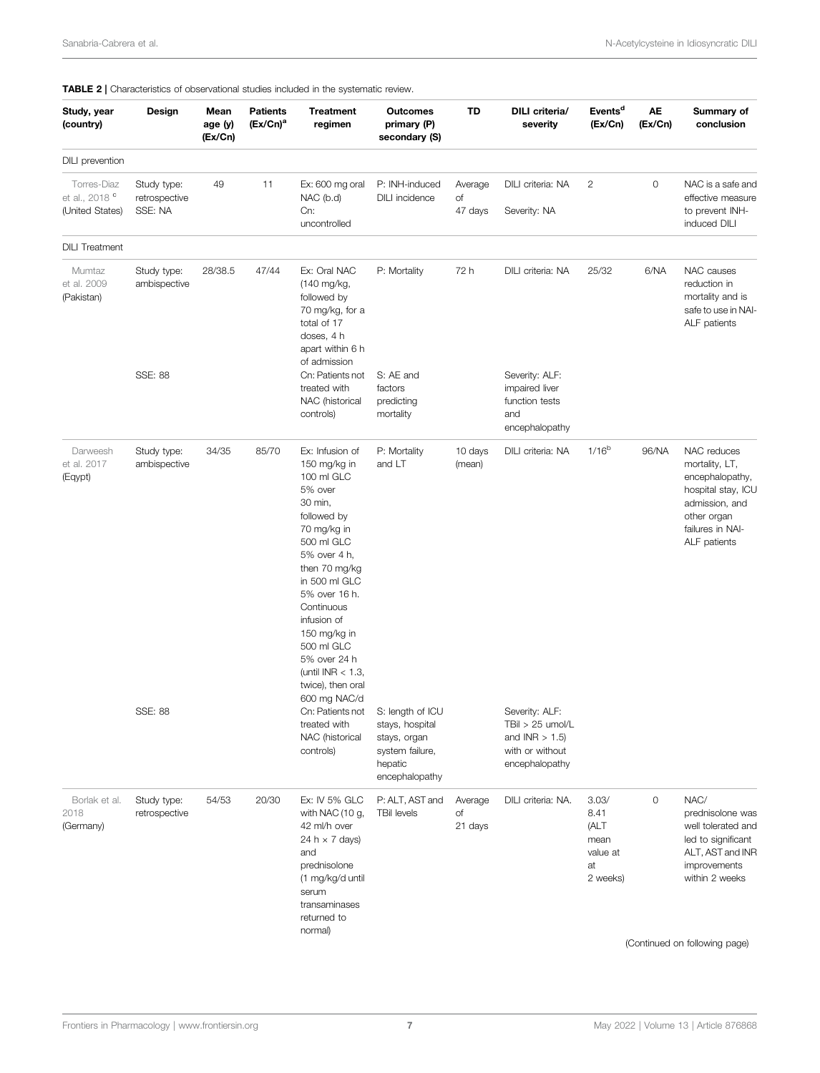| Study, year<br>(country)                                    | Design                                  | Mean<br>age (y)<br>(Ex/Cn) | <b>Patients</b><br>$(Ex/On)^a$ | <b>Treatment</b><br>regimen                                                                                                                                                                                                                                                                                               | <b>Outcomes</b><br>primary (P)<br>secondary (S)                                                     | TD                       | DILI criteria/<br>severity                                                                 | Events <sup>d</sup><br>(Ex/Cn)                              | AE<br>(EX/Ch) | Summary of<br>conclusion                                                                                                                                    |
|-------------------------------------------------------------|-----------------------------------------|----------------------------|--------------------------------|---------------------------------------------------------------------------------------------------------------------------------------------------------------------------------------------------------------------------------------------------------------------------------------------------------------------------|-----------------------------------------------------------------------------------------------------|--------------------------|--------------------------------------------------------------------------------------------|-------------------------------------------------------------|---------------|-------------------------------------------------------------------------------------------------------------------------------------------------------------|
| DILI prevention                                             |                                         |                            |                                |                                                                                                                                                                                                                                                                                                                           |                                                                                                     |                          |                                                                                            |                                                             |               |                                                                                                                                                             |
| Torres-Diaz<br>et al., 2018 <sup>c</sup><br>(United States) | Study type:<br>retrospective<br>SSE: NA | 49                         | 11                             | Ex: 600 mg oral<br>$NAC$ (b.d)<br>Cn:<br>uncontrolled                                                                                                                                                                                                                                                                     | P: INH-induced<br>DILI incidence                                                                    | Average<br>Οf<br>47 days | DILI criteria: NA<br>Severity: NA                                                          | $\mathbf{2}$                                                | $\circ$       | NAC is a safe and<br>effective measure<br>to prevent INH-<br>induced DILI                                                                                   |
| <b>DILI Treatment</b>                                       |                                         |                            |                                |                                                                                                                                                                                                                                                                                                                           |                                                                                                     |                          |                                                                                            |                                                             |               |                                                                                                                                                             |
| Mumtaz<br>et al. 2009<br>(Pakistan)                         | Study type:<br>ambispective             | 28/38.5                    | 47/44                          | Ex: Oral NAC<br>(140 mg/kg,<br>followed by<br>70 mg/kg, for a<br>total of 17<br>doses, 4 h<br>apart within 6 h                                                                                                                                                                                                            | P: Mortality                                                                                        | 72 h                     | DILI criteria: NA                                                                          | 25/32                                                       | 6/NA          | NAC causes<br>reduction in<br>mortality and is<br>safe to use in NAI-<br>ALF patients                                                                       |
|                                                             | SSE: 88                                 |                            |                                | of admission<br>Cn: Patients not<br>treated with<br>NAC (historical<br>controls)                                                                                                                                                                                                                                          | S: AE and<br>factors<br>predicting<br>mortality                                                     |                          | Severity: ALF:<br>impaired liver<br>function tests<br>and<br>encephalopathy                |                                                             |               |                                                                                                                                                             |
| Darweesh<br>et al. 2017<br>(Eqypt)                          | Study type:<br>ambispective             | 34/35                      | 85/70                          | Ex: Infusion of<br>150 mg/kg in<br>100 ml GLC<br>5% over<br>30 min,<br>followed by<br>70 mg/kg in<br>500 ml GLC<br>5% over 4 h,<br>then 70 mg/kg<br>in 500 ml GLC<br>5% over 16 h.<br>Continuous<br>infusion of<br>150 mg/kg in<br>500 ml GLC<br>5% over 24 h<br>(until INR $<$ 1.3,<br>twice), then oral<br>600 mg NAC/d | P: Mortality<br>and LT                                                                              | 10 days<br>(mean)        | DILI criteria: NA                                                                          | $1/16^{b}$                                                  | 96/NA         | NAC reduces<br>mortality, LT,<br>encephalopathy,<br>hospital stay, ICU<br>admission, and<br>other organ<br>failures in NAI-<br>ALF patients                 |
|                                                             | SSE: 88                                 |                            |                                | Cn: Patients not<br>treated with<br>NAC (historical<br>controls)                                                                                                                                                                                                                                                          | S: length of ICU<br>stays, hospital<br>stays, organ<br>system failure,<br>hepatic<br>encephalopathy |                          | Severity: ALF:<br>TBil > 25 umol/L<br>and $INR > 1.5$<br>with or without<br>encephalopathy |                                                             |               |                                                                                                                                                             |
| Borlak et al.<br>2018<br>(Germany)                          | Study type:<br>retrospective            | 54/53                      | 20/30                          | Ex: IV 5% GLC<br>with NAC $(10 g,$<br>42 ml/h over<br>24 h $\times$ 7 days)<br>and<br>prednisolone<br>(1 mg/kg/d until<br>serum<br>transaminases<br>returned to<br>normal)                                                                                                                                                | P: ALT, AST and<br><b>TBil levels</b>                                                               | Average<br>of<br>21 days | DILI criteria: NA.                                                                         | 3.03/<br>8.41<br>(ALT<br>mean<br>value at<br>at<br>2 weeks) | $\mathbf 0$   | NAC/<br>prednisolone was<br>well tolerated and<br>led to significant<br>ALT, AST and INR<br>improvements<br>within 2 weeks<br>(Continued on following page) |

<span id="page-6-0"></span>TABLE 2 | Characteristics of observational studies included in the systematic review.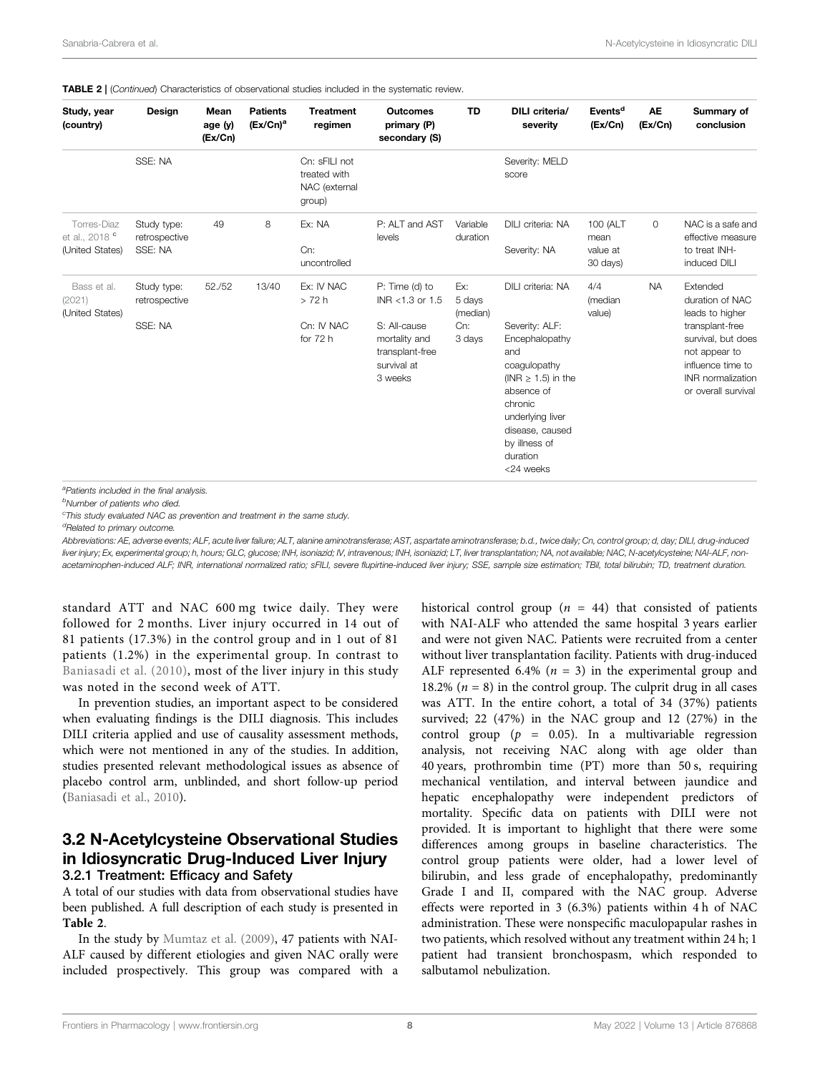| Study, year<br>(country)                                    | Design                                  | Mean<br>age (y)<br>(EX/Ch) | <b>Patients</b><br>$(Ex/On)^a$ | <b>Treatment</b><br>regimen                              | <b>Outcomes</b><br>primary (P)<br>secondary (S)                                                                 | <b>TD</b>                                  | DILI criteria/<br>severity                                                                                                                                                                                        | Events <sup>d</sup><br>(Ex/Cn)           | <b>AE</b><br>(EX/cn) | Summary of<br>conclusion                                                                                                                                                  |
|-------------------------------------------------------------|-----------------------------------------|----------------------------|--------------------------------|----------------------------------------------------------|-----------------------------------------------------------------------------------------------------------------|--------------------------------------------|-------------------------------------------------------------------------------------------------------------------------------------------------------------------------------------------------------------------|------------------------------------------|----------------------|---------------------------------------------------------------------------------------------------------------------------------------------------------------------------|
|                                                             | SSE: NA                                 |                            |                                | Cn: sFILI not<br>treated with<br>NAC (external<br>group) |                                                                                                                 |                                            | Severity: MELD<br>score                                                                                                                                                                                           |                                          |                      |                                                                                                                                                                           |
| Torres-Diaz<br>et al., 2018 <sup>c</sup><br>(United States) | Study type:<br>retrospective<br>SSE: NA | 49                         | 8                              | Ex: NA<br>Cn:<br>uncontrolled                            | P: ALT and AST<br>levels                                                                                        | Variable<br>duration                       | DILI criteria: NA<br>Severity: NA                                                                                                                                                                                 | 100 (ALT<br>mean<br>value at<br>30 days) | $\circ$              | NAC is a safe and<br>effective measure<br>to treat INH-<br>induced DILI                                                                                                   |
| Bass et al.<br>(2021)<br>(United States)                    | Study type:<br>retrospective<br>SSE: NA | 52./52                     | 13/40                          | Ex: IV NAC<br>>72h<br>Cn: IV NAC<br>for 72 h             | P: Time (d) to<br>INR <1.3 or 1.5<br>S: All-cause<br>mortality and<br>transplant-free<br>survival at<br>3 weeks | Ex:<br>5 days<br>(median)<br>Cn:<br>3 days | DILI criteria: NA<br>Severity: ALF:<br>Encephalopathy<br>and<br>coaquiopathy<br>(INR $\geq$ 1.5) in the<br>absence of<br>chronic<br>underlying liver<br>disease, caused<br>by illness of<br>duration<br><24 weeks | 4/4<br>(median<br>value)                 | <b>NA</b>            | Extended<br>duration of NAC<br>leads to higher<br>transplant-free<br>survival, but does<br>not appear to<br>influence time to<br>INR normalization<br>or overall survival |

TABLE 2 | (Continued) Characteristics of observational studies included in the systematic review.

<sup>a</sup>Patients included in the final analysis.

<sup>b</sup>Number of patients who died.

<sup>c</sup>This study evaluated NAC as prevention and treatment in the same study.

<sup>d</sup>Related to primary outcome.

Abbreviations: AE, adverse events; ALF, acute liver failure; ALT, alanine aminotransferase; AST, aspartate aminotransferase; b.d., twice daily; Cn, control group; d, day; DILI, drug-induced liver injury; Ex, experimental group; h, hours; GLC, glucose; INH, isoniazid; IV, intravenous; INH, isoniazid; LT, liver transplantation; NA, not available; NAC, N-acetylcysteine; NAI-ALF, nonacetaminophen-induced ALF; INR, international normalized ratio; sFILI, severe flupirtine-induced liver injury; SSE, sample size estimation; TBil, total bilirubin; TD, treatment duration.

standard ATT and NAC 600 mg twice daily. They were followed for 2 months. Liver injury occurred in 14 out of 81 patients (17.3%) in the control group and in 1 out of 81 patients (1.2%) in the experimental group. In contrast to [Baniasadi et al. \(2010\)](#page-10-13), most of the liver injury in this study was noted in the second week of ATT.

In prevention studies, an important aspect to be considered when evaluating findings is the DILI diagnosis. This includes DILI criteria applied and use of causality assessment methods, which were not mentioned in any of the studies. In addition, studies presented relevant methodological issues as absence of placebo control arm, unblinded, and short follow-up period ([Baniasadi et al., 2010\)](#page-10-13).

### 3.2 N-Acetylcysteine Observational Studies in Idiosyncratic Drug-Induced Liver Injury 3.2.1 Treatment: Efficacy and Safety

A total of our studies with data from observational studies have been published. A full description of each study is presented in [Table 2](#page-6-0).

In the study by [Mumtaz et al. \(2009\)](#page-10-9), 47 patients with NAI-ALF caused by different etiologies and given NAC orally were included prospectively. This group was compared with a historical control group ( $n = 44$ ) that consisted of patients with NAI-ALF who attended the same hospital 3 years earlier and were not given NAC. Patients were recruited from a center without liver transplantation facility. Patients with drug-induced ALF represented 6.4% ( $n = 3$ ) in the experimental group and 18.2% ( $n = 8$ ) in the control group. The culprit drug in all cases was ATT. In the entire cohort, a total of 34 (37%) patients survived; 22 (47%) in the NAC group and 12 (27%) in the control group ( $p = 0.05$ ). In a multivariable regression analysis, not receiving NAC along with age older than 40 years, prothrombin time (PT) more than 50 s, requiring mechanical ventilation, and interval between jaundice and hepatic encephalopathy were independent predictors of mortality. Specific data on patients with DILI were not provided. It is important to highlight that there were some differences among groups in baseline characteristics. The control group patients were older, had a lower level of bilirubin, and less grade of encephalopathy, predominantly Grade I and II, compared with the NAC group. Adverse effects were reported in 3 (6.3%) patients within 4 h of NAC administration. These were nonspecific maculopapular rashes in two patients, which resolved without any treatment within 24 h; 1 patient had transient bronchospasm, which responded to salbutamol nebulization.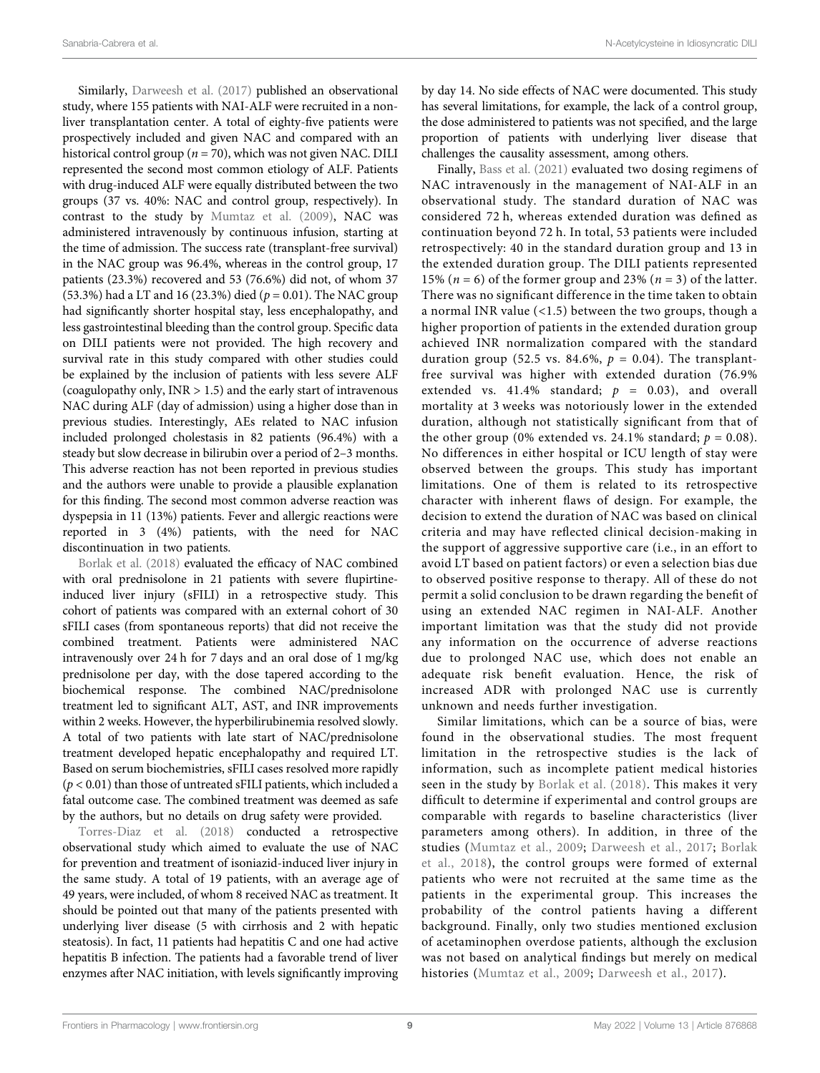Sanabria-Cabrera et al. N-Acetylcysteine in Idiosyncratic DILI

Similarly, [Darweesh et al. \(2017\)](#page-10-10) published an observational study, where 155 patients with NAI-ALF were recruited in a nonliver transplantation center. A total of eighty-five patients were prospectively included and given NAC and compared with an historical control group ( $n = 70$ ), which was not given NAC. DILI represented the second most common etiology of ALF. Patients with drug-induced ALF were equally distributed between the two groups (37 vs. 40%: NAC and control group, respectively). In contrast to the study by [Mumtaz et al. \(2009\)](#page-10-9), NAC was administered intravenously by continuous infusion, starting at the time of admission. The success rate (transplant-free survival) in the NAC group was 96.4%, whereas in the control group, 17 patients (23.3%) recovered and 53 (76.6%) did not, of whom 37 (53.3%) had a LT and 16 (23.3%) died ( $p = 0.01$ ). The NAC group had significantly shorter hospital stay, less encephalopathy, and less gastrointestinal bleeding than the control group. Specific data on DILI patients were not provided. The high recovery and survival rate in this study compared with other studies could be explained by the inclusion of patients with less severe ALF (coagulopathy only,  $INR > 1.5$ ) and the early start of intravenous NAC during ALF (day of admission) using a higher dose than in previous studies. Interestingly, AEs related to NAC infusion included prolonged cholestasis in 82 patients (96.4%) with a steady but slow decrease in bilirubin over a period of 2–3 months. This adverse reaction has not been reported in previous studies and the authors were unable to provide a plausible explanation for this finding. The second most common adverse reaction was dyspepsia in 11 (13%) patients. Fever and allergic reactions were reported in 3 (4%) patients, with the need for NAC discontinuation in two patients.

[Borlak et al. \(2018\)](#page-10-12) evaluated the efficacy of NAC combined with oral prednisolone in 21 patients with severe flupirtineinduced liver injury (sFILI) in a retrospective study. This cohort of patients was compared with an external cohort of 30 sFILI cases (from spontaneous reports) that did not receive the combined treatment. Patients were administered NAC intravenously over 24 h for 7 days and an oral dose of 1 mg/kg prednisolone per day, with the dose tapered according to the biochemical response. The combined NAC/prednisolone treatment led to significant ALT, AST, and INR improvements within 2 weeks. However, the hyperbilirubinemia resolved slowly. A total of two patients with late start of NAC/prednisolone treatment developed hepatic encephalopathy and required LT. Based on serum biochemistries, sFILI cases resolved more rapidly  $(p < 0.01)$  than those of untreated sFILI patients, which included a fatal outcome case. The combined treatment was deemed as safe by the authors, but no details on drug safety were provided.

[Torres-Diaz et al. \(2018\)](#page-11-9) conducted a retrospective observational study which aimed to evaluate the use of NAC for prevention and treatment of isoniazid-induced liver injury in the same study. A total of 19 patients, with an average age of 49 years, were included, of whom 8 received NAC as treatment. It should be pointed out that many of the patients presented with underlying liver disease (5 with cirrhosis and 2 with hepatic steatosis). In fact, 11 patients had hepatitis C and one had active hepatitis B infection. The patients had a favorable trend of liver enzymes after NAC initiation, with levels significantly improving by day 14. No side effects of NAC were documented. This study has several limitations, for example, the lack of a control group, the dose administered to patients was not specified, and the large proportion of patients with underlying liver disease that challenges the causality assessment, among others.

Finally, [Bass et al. \(2021\)](#page-10-11) evaluated two dosing regimens of NAC intravenously in the management of NAI-ALF in an observational study. The standard duration of NAC was considered 72 h, whereas extended duration was defined as continuation beyond 72 h. In total, 53 patients were included retrospectively: 40 in the standard duration group and 13 in the extended duration group. The DILI patients represented 15% ( $n = 6$ ) of the former group and 23% ( $n = 3$ ) of the latter. There was no significant difference in the time taken to obtain a normal INR value (<1.5) between the two groups, though a higher proportion of patients in the extended duration group achieved INR normalization compared with the standard duration group (52.5 vs. 84.6%,  $p = 0.04$ ). The transplantfree survival was higher with extended duration (76.9% extended vs.  $41.4\%$  standard;  $p = 0.03$ ), and overall mortality at 3 weeks was notoriously lower in the extended duration, although not statistically significant from that of the other group (0% extended vs. 24.1% standard;  $p = 0.08$ ). No differences in either hospital or ICU length of stay were observed between the groups. This study has important limitations. One of them is related to its retrospective character with inherent flaws of design. For example, the decision to extend the duration of NAC was based on clinical criteria and may have reflected clinical decision-making in the support of aggressive supportive care (i.e., in an effort to avoid LT based on patient factors) or even a selection bias due to observed positive response to therapy. All of these do not permit a solid conclusion to be drawn regarding the benefit of using an extended NAC regimen in NAI-ALF. Another important limitation was that the study did not provide any information on the occurrence of adverse reactions due to prolonged NAC use, which does not enable an adequate risk benefit evaluation. Hence, the risk of increased ADR with prolonged NAC use is currently unknown and needs further investigation.

Similar limitations, which can be a source of bias, were found in the observational studies. The most frequent limitation in the retrospective studies is the lack of information, such as incomplete patient medical histories seen in the study by [Borlak et al. \(2018\).](#page-10-12) This makes it very difficult to determine if experimental and control groups are comparable with regards to baseline characteristics (liver parameters among others). In addition, in three of the studies ([Mumtaz et al., 2009;](#page-10-9) [Darweesh et al., 2017;](#page-10-10) [Borlak](#page-10-12) [et al., 2018\)](#page-10-12), the control groups were formed of external patients who were not recruited at the same time as the patients in the experimental group. This increases the probability of the control patients having a different background. Finally, only two studies mentioned exclusion of acetaminophen overdose patients, although the exclusion was not based on analytical findings but merely on medical histories ([Mumtaz et al., 2009;](#page-10-9) [Darweesh et al., 2017\)](#page-10-10).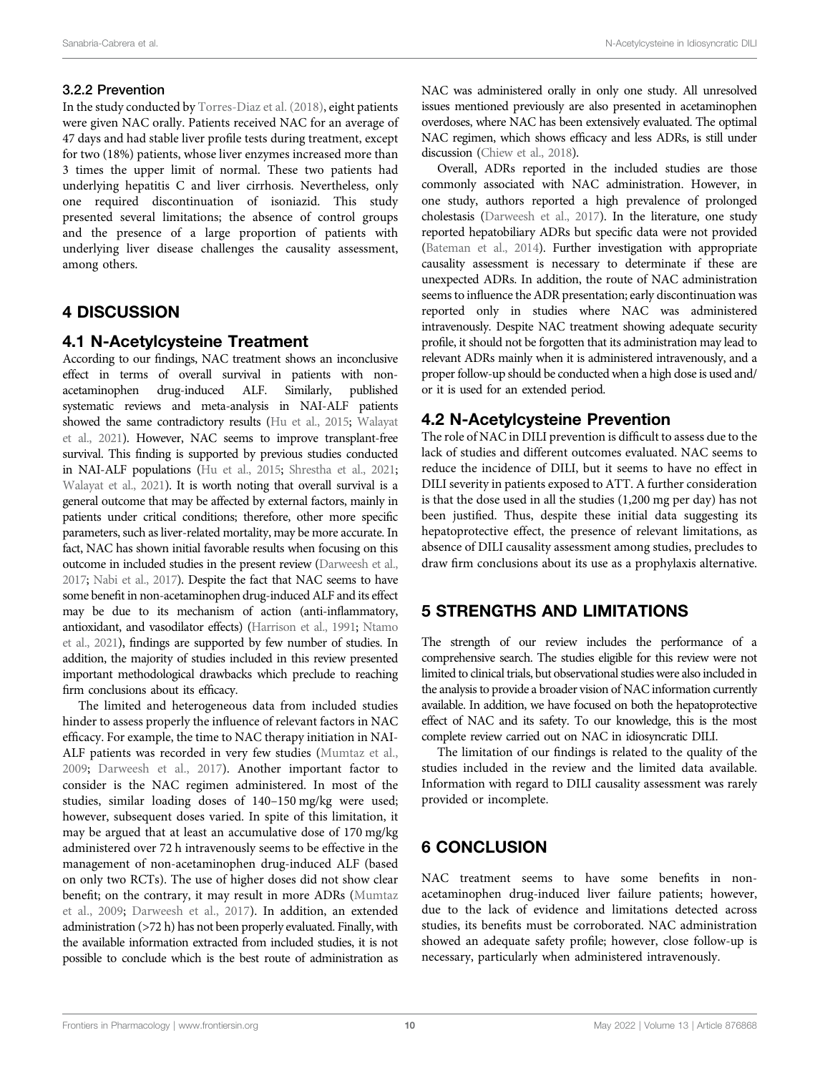### 3.2.2 Prevention

In the study conducted by [Torres-Diaz et al. \(2018\),](#page-11-9) eight patients were given NAC orally. Patients received NAC for an average of 47 days and had stable liver profile tests during treatment, except for two (18%) patients, whose liver enzymes increased more than 3 times the upper limit of normal. These two patients had underlying hepatitis C and liver cirrhosis. Nevertheless, only one required discontinuation of isoniazid. This study presented several limitations; the absence of control groups and the presence of a large proportion of patients with underlying liver disease challenges the causality assessment, among others.

# 4 DISCUSSION

# 4.1 N-Acetylcysteine Treatment

According to our findings, NAC treatment shows an inconclusive effect in terms of overall survival in patients with nonacetaminophen drug-induced ALF. Similarly, published systematic reviews and meta-analysis in NAI-ALF patients showed the same contradictory results [\(Hu et al., 2015](#page-10-7); [Walayat](#page-11-10) [et al., 2021\)](#page-11-10). However, NAC seems to improve transplant-free survival. This finding is supported by previous studies conducted in NAI-ALF populations [\(Hu et al., 2015;](#page-10-7) [Shrestha et al., 2021](#page-11-11); [Walayat et al., 2021\)](#page-11-10). It is worth noting that overall survival is a general outcome that may be affected by external factors, mainly in patients under critical conditions; therefore, other more specific parameters, such as liver-related mortality, may be more accurate. In fact, NAC has shown initial favorable results when focusing on this outcome in included studies in the present review ([Darweesh et al.,](#page-10-10) [2017;](#page-10-10) [Nabi et al., 2017\)](#page-11-2). Despite the fact that NAC seems to have some benefit in non-acetaminophen drug-induced ALF and its effect may be due to its mechanism of action (anti-inflammatory, antioxidant, and vasodilator effects) ([Harrison et al., 1991](#page-10-15); [Ntamo](#page-11-12) [et al., 2021\)](#page-11-12), findings are supported by few number of studies. In addition, the majority of studies included in this review presented important methodological drawbacks which preclude to reaching firm conclusions about its efficacy.

The limited and heterogeneous data from included studies hinder to assess properly the influence of relevant factors in NAC efficacy. For example, the time to NAC therapy initiation in NAI-ALF patients was recorded in very few studies ([Mumtaz et al.,](#page-10-9) [2009](#page-10-9); [Darweesh et al., 2017](#page-10-10)). Another important factor to consider is the NAC regimen administered. In most of the studies, similar loading doses of 140–150 mg/kg were used; however, subsequent doses varied. In spite of this limitation, it may be argued that at least an accumulative dose of 170 mg/kg administered over 72 h intravenously seems to be effective in the management of non-acetaminophen drug-induced ALF (based on only two RCTs). The use of higher doses did not show clear benefit; on the contrary, it may result in more ADRs [\(Mumtaz](#page-10-9) [et al., 2009](#page-10-9); [Darweesh et al., 2017](#page-10-10)). In addition, an extended administration (>72 h) has not been properly evaluated. Finally, with the available information extracted from included studies, it is not possible to conclude which is the best route of administration as NAC was administered orally in only one study. All unresolved issues mentioned previously are also presented in acetaminophen overdoses, where NAC has been extensively evaluated. The optimal NAC regimen, which shows efficacy and less ADRs, is still under discussion [\(Chiew et al., 2018](#page-10-6)).

Overall, ADRs reported in the included studies are those commonly associated with NAC administration. However, in one study, authors reported a high prevalence of prolonged cholestasis [\(Darweesh et al., 2017](#page-10-10)). In the literature, one study reported hepatobiliary ADRs but specific data were not provided [\(Bateman et al., 2014](#page-10-16)). Further investigation with appropriate causality assessment is necessary to determinate if these are unexpected ADRs. In addition, the route of NAC administration seems to influence the ADR presentation; early discontinuation was reported only in studies where NAC was administered intravenously. Despite NAC treatment showing adequate security profile, it should not be forgotten that its administration may lead to relevant ADRs mainly when it is administered intravenously, and a proper follow-up should be conducted when a high dose is used and/ or it is used for an extended period.

# 4.2 N-Acetylcysteine Prevention

The role of NAC in DILI prevention is difficult to assess due to the lack of studies and different outcomes evaluated. NAC seems to reduce the incidence of DILI, but it seems to have no effect in DILI severity in patients exposed to ATT. A further consideration is that the dose used in all the studies (1,200 mg per day) has not been justified. Thus, despite these initial data suggesting its hepatoprotective effect, the presence of relevant limitations, as absence of DILI causality assessment among studies, precludes to draw firm conclusions about its use as a prophylaxis alternative.

# 5 STRENGTHS AND LIMITATIONS

The strength of our review includes the performance of a comprehensive search. The studies eligible for this review were not limited to clinical trials, but observational studies were also included in the analysis to provide a broader vision of NAC information currently available. In addition, we have focused on both the hepatoprotective effect of NAC and its safety. To our knowledge, this is the most complete review carried out on NAC in idiosyncratic DILI.

The limitation of our findings is related to the quality of the studies included in the review and the limited data available. Information with regard to DILI causality assessment was rarely provided or incomplete.

# 6 CONCLUSION

NAC treatment seems to have some benefits in nonacetaminophen drug-induced liver failure patients; however, due to the lack of evidence and limitations detected across studies, its benefits must be corroborated. NAC administration showed an adequate safety profile; however, close follow-up is necessary, particularly when administered intravenously.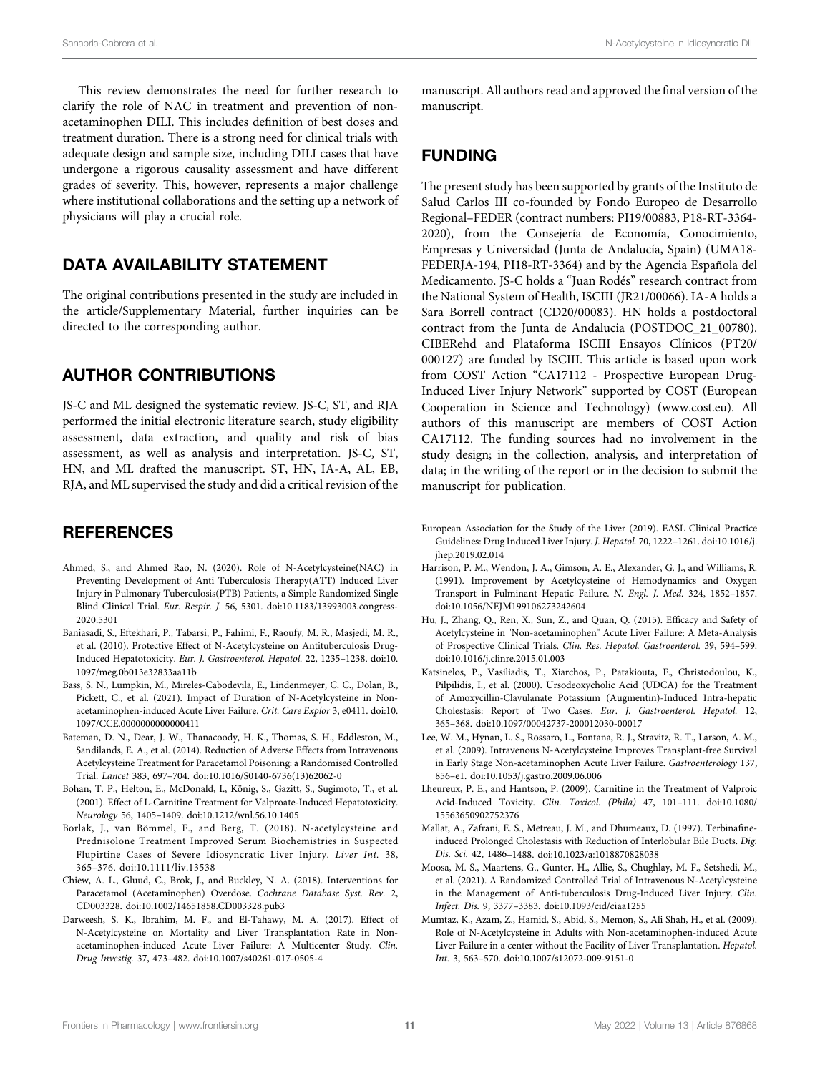This review demonstrates the need for further research to clarify the role of NAC in treatment and prevention of nonacetaminophen DILI. This includes definition of best doses and treatment duration. There is a strong need for clinical trials with adequate design and sample size, including DILI cases that have undergone a rigorous causality assessment and have different grades of severity. This, however, represents a major challenge where institutional collaborations and the setting up a network of physicians will play a crucial role.

# DATA AVAILABILITY STATEMENT

The original contributions presented in the study are included in the article/Supplementary Material, further inquiries can be directed to the corresponding author.

### AUTHOR CONTRIBUTIONS

JS-C and ML designed the systematic review. JS-C, ST, and RJA performed the initial electronic literature search, study eligibility assessment, data extraction, and quality and risk of bias assessment, as well as analysis and interpretation. JS-C, ST, HN, and ML drafted the manuscript. ST, HN, IA-A, AL, EB, RJA, and ML supervised the study and did a critical revision of the

### **REFERENCES**

- <span id="page-10-14"></span>Ahmed, S., and Ahmed Rao, N. (2020). Role of N-Acetylcysteine(NAC) in Preventing Development of Anti Tuberculosis Therapy(ATT) Induced Liver Injury in Pulmonary Tuberculosis(PTB) Patients, a Simple Randomized Single Blind Clinical Trial. Eur. Respir. J. 56, 5301. doi:[10.1183/13993003.congress-](https://doi.org/10.1183/13993003.congress-2020.5301)[2020.5301](https://doi.org/10.1183/13993003.congress-2020.5301)
- <span id="page-10-13"></span>Baniasadi, S., Eftekhari, P., Tabarsi, P., Fahimi, F., Raoufy, M. R., Masjedi, M. R., et al. (2010). Protective Effect of N-Acetylcysteine on Antituberculosis Drug-Induced Hepatotoxicity. Eur. J. Gastroenterol. Hepatol. 22, 1235–1238. doi[:10.](https://doi.org/10.1097/meg.0b013e32833aa11b) [1097/meg.0b013e32833aa11b](https://doi.org/10.1097/meg.0b013e32833aa11b)
- <span id="page-10-11"></span>Bass, S. N., Lumpkin, M., Mireles-Cabodevila, E., Lindenmeyer, C. C., Dolan, B., Pickett, C., et al. (2021). Impact of Duration of N-Acetylcysteine in Nonacetaminophen-induced Acute Liver Failure. Crit. Care Explor 3, e0411. doi[:10.](https://doi.org/10.1097/CCE.0000000000000411) [1097/CCE.0000000000000411](https://doi.org/10.1097/CCE.0000000000000411)
- <span id="page-10-16"></span>Bateman, D. N., Dear, J. W., Thanacoody, H. K., Thomas, S. H., Eddleston, M., Sandilands, E. A., et al. (2014). Reduction of Adverse Effects from Intravenous Acetylcysteine Treatment for Paracetamol Poisoning: a Randomised Controlled Trial. Lancet 383, 697–704. doi:[10.1016/S0140-6736\(13\)62062-0](https://doi.org/10.1016/S0140-6736(13)62062-0)
- <span id="page-10-2"></span>Bohan, T. P., Helton, E., McDonald, I., König, S., Gazitt, S., Sugimoto, T., et al. (2001). Effect of L-Carnitine Treatment for Valproate-Induced Hepatotoxicity. Neurology 56, 1405–1409. doi:[10.1212/wnl.56.10.1405](https://doi.org/10.1212/wnl.56.10.1405)
- <span id="page-10-12"></span>Borlak, J., van Bömmel, F., and Berg, T. (2018). N-acetylcysteine and Prednisolone Treatment Improved Serum Biochemistries in Suspected Flupirtine Cases of Severe Idiosyncratic Liver Injury. Liver Int. 38, 365–376. doi:[10.1111/liv.13538](https://doi.org/10.1111/liv.13538)
- <span id="page-10-6"></span>Chiew, A. L., Gluud, C., Brok, J., and Buckley, N. A. (2018). Interventions for Paracetamol (Acetaminophen) Overdose. Cochrane Database Syst. Rev. 2, CD003328. doi:[10.1002/14651858.CD003328.pub3](https://doi.org/10.1002/14651858.CD003328.pub3)
- <span id="page-10-10"></span>Darweesh, S. K., Ibrahim, M. F., and El-Tahawy, M. A. (2017). Effect of N-Acetylcysteine on Mortality and Liver Transplantation Rate in Nonacetaminophen-induced Acute Liver Failure: A Multicenter Study. Clin. Drug Investig. 37, 473–482. doi:[10.1007/s40261-017-0505-4](https://doi.org/10.1007/s40261-017-0505-4)

manuscript. All authors read and approved the final version of the manuscript.

### FUNDING

The present study has been supported by grants of the Instituto de Salud Carlos III co-founded by Fondo Europeo de Desarrollo Regional–FEDER (contract numbers: PI19/00883, P18-RT-3364- 2020), from the Consejería de Economía, Conocimiento, Empresas y Universidad (Junta de Andalucía, Spain) (UMA18- FEDERJA-194, PI18-RT-3364) and by the Agencia Española del Medicamento. JS-C holds a "Juan Rodés" research contract from the National System of Health, ISCIII (JR21/00066). IA-A holds a Sara Borrell contract (CD20/00083). HN holds a postdoctoral contract from the Junta de Andalucia (POSTDOC\_21\_00780). CIBERehd and Plataforma ISCIII Ensayos Clínicos (PT20/ 000127) are funded by ISCIII. This article is based upon work from COST Action "CA17112 - Prospective European Drug-Induced Liver Injury Network" supported by COST (European Cooperation in Science and Technology) ([www.cost.eu\)](http://www.cost.eu). All authors of this manuscript are members of COST Action CA17112. The funding sources had no involvement in the study design; in the collection, analysis, and interpretation of data; in the writing of the report or in the decision to submit the manuscript for publication.

- <span id="page-10-0"></span>European Association for the Study of the Liver (2019). EASL Clinical Practice Guidelines: Drug Induced Liver Injury. J. Hepatol. 70, 1222–1261. doi:[10.1016/j.](https://doi.org/10.1016/j.jhep.2019.02.014) [jhep.2019.02.014](https://doi.org/10.1016/j.jhep.2019.02.014)
- <span id="page-10-15"></span>Harrison, P. M., Wendon, J. A., Gimson, A. E., Alexander, G. J., and Williams, R. (1991). Improvement by Acetylcysteine of Hemodynamics and Oxygen Transport in Fulminant Hepatic Failure. N. Engl. J. Med. 324, 1852–1857. doi[:10.1056/NEJM199106273242604](https://doi.org/10.1056/NEJM199106273242604)
- <span id="page-10-7"></span>Hu, J., Zhang, Q., Ren, X., Sun, Z., and Quan, Q. (2015). Efficacy and Safety of Acetylcysteine in "Non-acetaminophen" Acute Liver Failure: A Meta-Analysis of Prospective Clinical Trials. Clin. Res. Hepatol. Gastroenterol. 39, 594–599. doi[:10.1016/j.clinre.2015.01.003](https://doi.org/10.1016/j.clinre.2015.01.003)
- <span id="page-10-4"></span>Katsinelos, P., Vasiliadis, T., Xiarchos, P., Patakiouta, F., Christodoulou, K., Pilpilidis, I., et al. (2000). Ursodeoxycholic Acid (UDCA) for the Treatment of Amoxycillin-Clavulanate Potassium (Augmentin)-Induced Intra-hepatic Cholestasis: Report of Two Cases. Eur. J. Gastroenterol. Hepatol. 12, 365–368. doi:[10.1097/00042737-200012030-00017](https://doi.org/10.1097/00042737-200012030-00017)
- <span id="page-10-5"></span>Lee, W. M., Hynan, L. S., Rossaro, L., Fontana, R. J., Stravitz, R. T., Larson, A. M., et al. (2009). Intravenous N-Acetylcysteine Improves Transplant-free Survival in Early Stage Non-acetaminophen Acute Liver Failure. Gastroenterology 137, 856–e1. doi:[10.1053/j.gastro.2009.06.006](https://doi.org/10.1053/j.gastro.2009.06.006)
- <span id="page-10-3"></span>Lheureux, P. E., and Hantson, P. (2009). Carnitine in the Treatment of Valproic Acid-Induced Toxicity. Clin. Toxicol. (Phila) 47, 101–111. doi[:10.1080/](https://doi.org/10.1080/15563650902752376) [15563650902752376](https://doi.org/10.1080/15563650902752376)
- <span id="page-10-1"></span>Mallat, A., Zafrani, E. S., Metreau, J. M., and Dhumeaux, D. (1997). Terbinafineinduced Prolonged Cholestasis with Reduction of Interlobular Bile Ducts. Dig. Dis. Sci. 42, 1486–1488. doi:[10.1023/a:1018870828038](https://doi.org/10.1023/a:1018870828038)
- <span id="page-10-8"></span>Moosa, M. S., Maartens, G., Gunter, H., Allie, S., Chughlay, M. F., Setshedi, M., et al. (2021). A Randomized Controlled Trial of Intravenous N-Acetylcysteine in the Management of Anti-tuberculosis Drug-Induced Liver Injury. Clin. Infect. Dis. 9, 3377–3383. doi[:10.1093/cid/ciaa1255](https://doi.org/10.1093/cid/ciaa1255)
- <span id="page-10-9"></span>Mumtaz, K., Azam, Z., Hamid, S., Abid, S., Memon, S., Ali Shah, H., et al. (2009). Role of N-Acetylcysteine in Adults with Non-acetaminophen-induced Acute Liver Failure in a center without the Facility of Liver Transplantation. Hepatol. Int. 3, 563–570. doi[:10.1007/s12072-009-9151-0](https://doi.org/10.1007/s12072-009-9151-0)